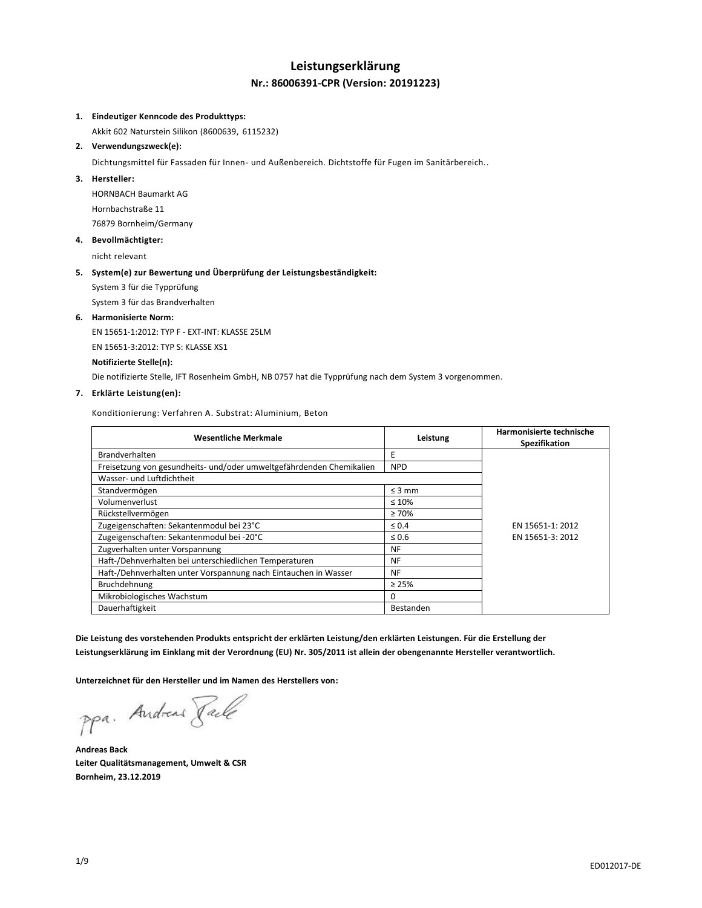## **Leistungserklärung Nr.: 86006391-CPR (Version: 20191223)**

### **1. Eindeutiger Kenncode des Produkttyps:**

Akkit 602 Naturstein Silikon (8600639, 6115232)

## **2. Verwendungszweck(e):**

Dichtungsmittel für Fassaden für Innen- und Außenbereich. Dichtstoffe für Fugen im Sanitärbereich..

### **3. Hersteller:**

HORNBACH Baumarkt AG Hornbachstraße 11 76879 Bornheim/Germany

### **4. Bevollmächtigter:**

nicht relevant

## **5. System(e) zur Bewertung und Überprüfung der Leistungsbeständigkeit:**

System 3 für die Typprüfung

System 3 für das Brandverhalten

### **6. Harmonisierte Norm:**

EN 15651-1:2012: TYP F - EXT-INT: KLASSE 25LM

EN 15651-3:2012: TYP S: KLASSE XS1

### **Notifizierte Stelle(n):**

Die notifizierte Stelle, IFT Rosenheim GmbH, NB 0757 hat die Typprüfung nach dem System 3 vorgenommen.

## **7. Erklärte Leistung(en):**

Konditionierung: Verfahren A. Substrat: Aluminium, Beton

| <b>Wesentliche Merkmale</b>                                          | Leistung    | Harmonisierte technische<br>Spezifikation |
|----------------------------------------------------------------------|-------------|-------------------------------------------|
| <b>Brandverhalten</b>                                                | Ε           |                                           |
| Freisetzung von gesundheits- und/oder umweltgefährdenden Chemikalien | <b>NPD</b>  |                                           |
| Wasser- und Luftdichtheit                                            |             |                                           |
| Standvermögen                                                        | $\leq$ 3 mm |                                           |
| Volumenverlust                                                       | $\leq 10\%$ |                                           |
| Rückstellvermögen                                                    | $\geq 70\%$ |                                           |
| Zugeigenschaften: Sekantenmodul bei 23°C                             | $\leq 0.4$  | EN 15651-1: 2012                          |
| Zugeigenschaften: Sekantenmodul bei -20°C                            | $\leq 0.6$  | EN 15651-3: 2012                          |
| Zugverhalten unter Vorspannung                                       | <b>NF</b>   |                                           |
| Haft-/Dehnverhalten bei unterschiedlichen Temperaturen               | <b>NF</b>   |                                           |
| Haft-/Dehnverhalten unter Vorspannung nach Eintauchen in Wasser      | <b>NF</b>   |                                           |
| Bruchdehnung                                                         | $\geq 25\%$ |                                           |
| Mikrobiologisches Wachstum                                           | 0           |                                           |
| Dauerhaftigkeit                                                      | Bestanden   |                                           |

**Die Leistung des vorstehenden Produkts entspricht der erklärten Leistung/den erklärten Leistungen. Für die Erstellung der Leistungserklärung im Einklang mit der Verordnung (EU) Nr. 305/2011 ist allein der obengenannte Hersteller verantwortlich.**

**Unterzeichnet für den Hersteller und im Namen des Herstellers von:**

ppa. Andreas Faile

**Andreas Back Leiter Qualitätsmanagement, Umwelt & CSR Bornheim, 23.12.2019**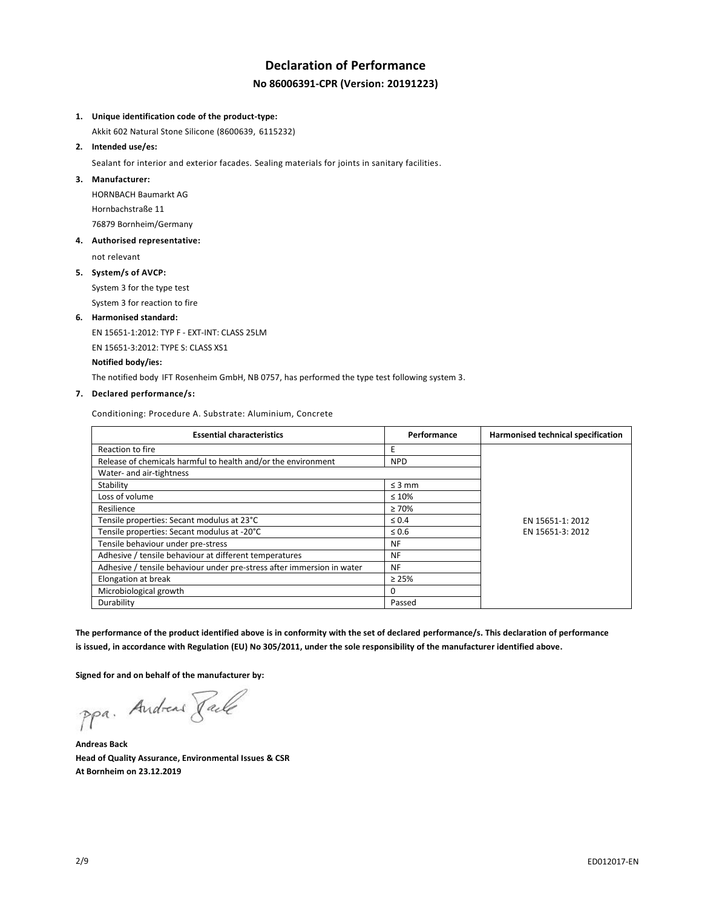# **Declaration of Performance No 86006391-CPR (Version: 20191223)**

### **1. Unique identification code of the product-type:**

Akkit 602 Natural Stone Silicone (8600639, 6115232)

## **2. Intended use/es:**

Sealant for interior and exterior facades. Sealing materials for joints in sanitary facilities.

### **3. Manufacturer:**

HORNBACH Baumarkt AG Hornbachstraße 11 76879 Bornheim/Germany

### **4. Authorised representative:**

not relevant

### **5. System/s of AVCP:**

System 3 for the type test System 3 for reaction to fire

## **6. Harmonised standard:**

EN 15651-1:2012: TYP F - EXT-INT: CLASS 25LM

EN 15651-3:2012: TYPE S: CLASS XS1

### **Notified body/ies:**

The notified body IFT Rosenheim GmbH, NB 0757, has performed the type test following system 3.

## **7. Declared performance/s:**

Conditioning: Procedure A. Substrate: Aluminium, Concrete

| <b>Essential characteristics</b>                                       | Performance | Harmonised technical specification |
|------------------------------------------------------------------------|-------------|------------------------------------|
| Reaction to fire                                                       | Ε           |                                    |
| Release of chemicals harmful to health and/or the environment          | <b>NPD</b>  |                                    |
| Water- and air-tightness                                               |             |                                    |
| Stability                                                              | $\leq$ 3 mm |                                    |
| Loss of volume                                                         | $\leq 10\%$ |                                    |
| Resilience                                                             | $\geq 70\%$ |                                    |
| Tensile properties: Secant modulus at 23°C                             | $\leq 0.4$  | EN 15651-1: 2012                   |
| Tensile properties: Secant modulus at -20°C                            | $\leq 0.6$  | EN 15651-3: 2012                   |
| Tensile behaviour under pre-stress                                     | NF          |                                    |
| Adhesive / tensile behaviour at different temperatures                 | NF          |                                    |
| Adhesive / tensile behaviour under pre-stress after immersion in water | NF          |                                    |
| Elongation at break                                                    | $\geq 25\%$ |                                    |
| Microbiological growth                                                 | 0           |                                    |
| Durability                                                             | Passed      |                                    |

**The performance of the product identified above is in conformity with the set of declared performance/s. This declaration of performance is issued, in accordance with Regulation (EU) No 305/2011, under the sole responsibility of the manufacturer identified above.**

**Signed for and on behalf of the manufacturer by:**

ppa. Andreas Tack

**Andreas Back Head of Quality Assurance, Environmental Issues & CSR At Bornheim on 23.12.2019**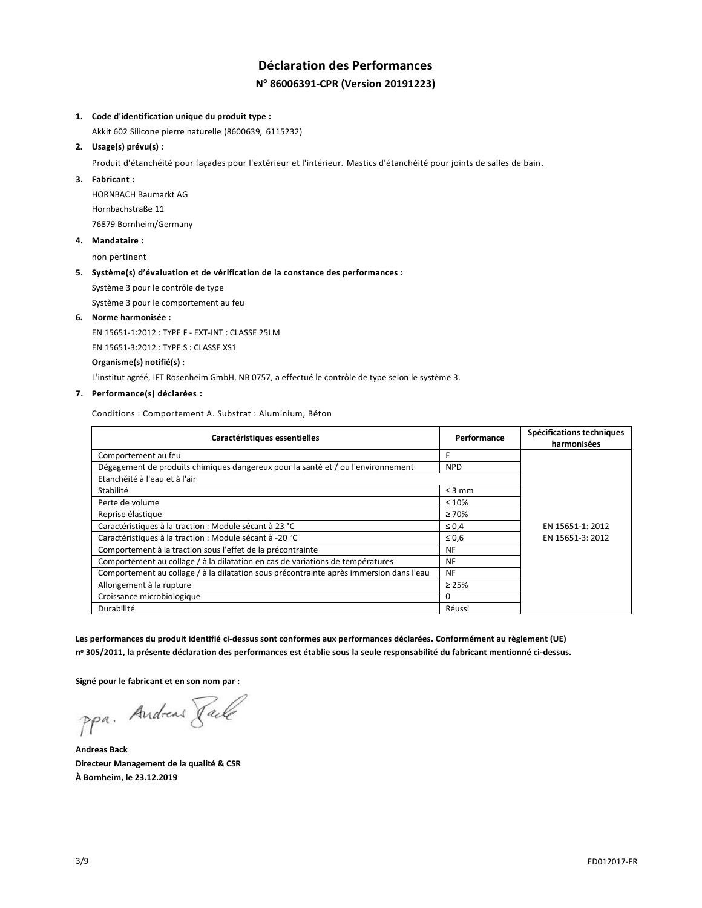# **Déclaration des Performances N <sup>o</sup> 86006391-CPR (Version 20191223)**

### **1. Code d'identification unique du produit type :**

Akkit 602 Silicone pierre naturelle (8600639, 6115232)

**2. Usage(s) prévu(s) :**

Produit d'étanchéité pour façades pour l'extérieur et l'intérieur. Mastics d'étanchéité pour joints de salles de bain.

### **3. Fabricant :**

HORNBACH Baumarkt AG Hornbachstraße 11 76879 Bornheim/Germany

**4. Mandataire :**

non pertinent

### **5. Système(s) d'évaluation et de vérification de la constance des performances :**

Système 3 pour le contrôle de type

Système 3 pour le comportement au feu

**6. Norme harmonisée :**

EN 15651-1:2012 : TYPE F - EXT-INT : CLASSE 25LM

EN 15651-3:2012 : TYPE S : CLASSE XS1

### **Organisme(s) notifié(s) :**

L'institut agréé, IFT Rosenheim GmbH, NB 0757, a effectué le contrôle de type selon le système 3.

## **7. Performance(s) déclarées :**

Conditions : Comportement A. Substrat : Aluminium, Béton

| Caractéristiques essentielles                                                           | Performance | Spécifications techniques<br>harmonisées |
|-----------------------------------------------------------------------------------------|-------------|------------------------------------------|
| Comportement au feu                                                                     | E           |                                          |
| Dégagement de produits chimiques dangereux pour la santé et / ou l'environnement        | <b>NPD</b>  |                                          |
| Etanchéité à l'eau et à l'air                                                           |             |                                          |
| Stabilité                                                                               | $\leq$ 3 mm |                                          |
| Perte de volume                                                                         | $\leq 10\%$ |                                          |
| Reprise élastique                                                                       | $\geq 70\%$ |                                          |
| Caractéristiques à la traction : Module sécant à 23 °C                                  | $\leq 0.4$  | EN 15651-1: 2012                         |
| Caractéristiques à la traction : Module sécant à -20 °C                                 | $\leq 0.6$  | EN 15651-3: 2012                         |
| Comportement à la traction sous l'effet de la précontrainte                             | <b>NF</b>   |                                          |
| Comportement au collage / à la dilatation en cas de variations de températures          | <b>NF</b>   |                                          |
| Comportement au collage / à la dilatation sous précontrainte après immersion dans l'eau | <b>NF</b>   |                                          |
| Allongement à la rupture                                                                | $\geq 25\%$ |                                          |
| Croissance microbiologique                                                              | 0           |                                          |
| Durabilité                                                                              | Réussi      |                                          |

**Les performances du produit identifié ci-dessus sont conformes aux performances déclarées. Conformément au règlement (UE) n <sup>o</sup> 305/2011, la présente déclaration des performances est établie sous la seule responsabilité du fabricant mentionné ci-dessus.**

**Signé pour le fabricant et en son nom par :**

ppa. Andreas Pale

**Andreas Back Directeur Management de la qualité & CSR À Bornheim, le 23.12.2019**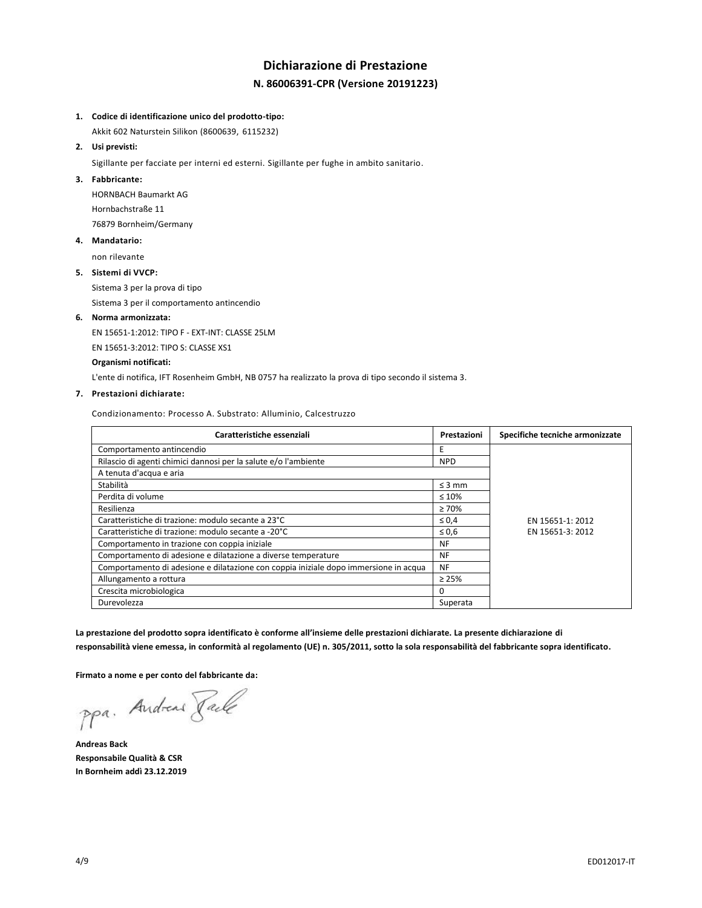# **Dichiarazione di Prestazione N. 86006391-CPR (Versione 20191223)**

### **1. Codice di identificazione unico del prodotto-tipo:**

Akkit 602 Naturstein Silikon (8600639, 6115232)

**2. Usi previsti:**

Sigillante per facciate per interni ed esterni. Sigillante per fughe in ambito sanitario.

### **3. Fabbricante:**

HORNBACH Baumarkt AG Hornbachstraße 11 76879 Bornheim/Germany

### **4. Mandatario:**

non rilevante

### **5. Sistemi di VVCP:**

Sistema 3 per la prova di tipo

Sistema 3 per il comportamento antincendio

### **6. Norma armonizzata:**

EN 15651-1:2012: TIPO F - EXT-INT: CLASSE 25LM

EN 15651-3:2012: TIPO S: CLASSE XS1

### **Organismi notificati:**

L'ente di notifica, IFT Rosenheim GmbH, NB 0757 ha realizzato la prova di tipo secondo il sistema 3.

### **7. Prestazioni dichiarate:**

Condizionamento: Processo A. Substrato: Alluminio, Calcestruzzo

| Caratteristiche essenziali                                                           | Prestazioni | Specifiche tecniche armonizzate |
|--------------------------------------------------------------------------------------|-------------|---------------------------------|
| Comportamento antincendio                                                            | E           |                                 |
| Rilascio di agenti chimici dannosi per la salute e/o l'ambiente                      | <b>NPD</b>  |                                 |
| A tenuta d'acqua e aria                                                              |             |                                 |
| Stabilità                                                                            | $\leq$ 3 mm |                                 |
| Perdita di volume                                                                    | $\leq 10\%$ |                                 |
| Resilienza                                                                           | $\geq 70\%$ |                                 |
| Caratteristiche di trazione: modulo secante a 23°C                                   | $\leq 0.4$  | EN 15651-1: 2012                |
| Caratteristiche di trazione: modulo secante a -20°C                                  | $\leq 0.6$  | EN 15651-3: 2012                |
| Comportamento in trazione con coppia iniziale                                        | <b>NF</b>   |                                 |
| Comportamento di adesione e dilatazione a diverse temperature                        | <b>NF</b>   |                                 |
| Comportamento di adesione e dilatazione con coppia iniziale dopo immersione in acqua | <b>NF</b>   |                                 |
| Allungamento a rottura                                                               | $\geq 25\%$ |                                 |
| Crescita microbiologica                                                              | 0           |                                 |
| Durevolezza                                                                          | Superata    |                                 |

**La prestazione del prodotto sopra identificato è conforme all'insieme delle prestazioni dichiarate. La presente dichiarazione di responsabilità viene emessa, in conformità al regolamento (UE) n. 305/2011, sotto la sola responsabilità del fabbricante sopra identificato.**

**Firmato a nome e per conto del fabbricante da:**

ppa. Andreas Faile

**Andreas Back Responsabile Qualità & CSR In Bornheim addì 23.12.2019**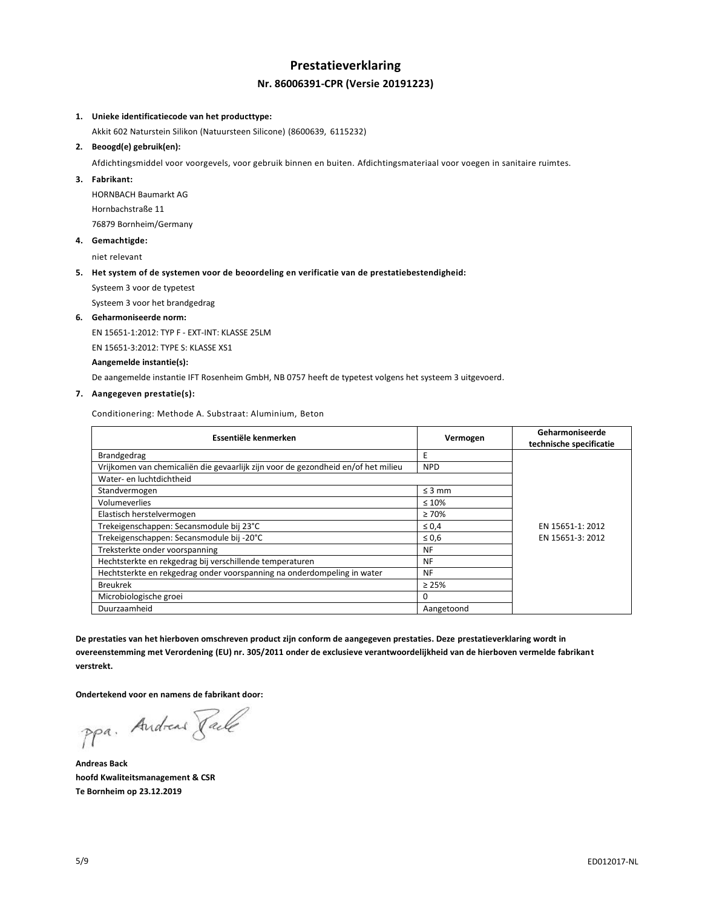## **Prestatieverklaring Nr. 86006391-CPR (Versie 20191223)**

#### **1. Unieke identificatiecode van het producttype:**

Akkit 602 Naturstein Silikon (Natuursteen Silicone) (8600639, 6115232)

### **2. Beoogd(e) gebruik(en):**

Afdichtingsmiddel voor voorgevels, voor gebruik binnen en buiten. Afdichtingsmateriaal voor voegen in sanitaire ruimtes.

#### **3. Fabrikant:**

HORNBACH Baumarkt AG Hornbachstraße 11 76879 Bornheim/Germany

**4. Gemachtigde:**

niet relevant

### **5. Het system of de systemen voor de beoordeling en verificatie van de prestatiebestendigheid:**

Systeem 3 voor de typetest

Systeem 3 voor het brandgedrag

#### **6. Geharmoniseerde norm:**

EN 15651-1:2012: TYP F - EXT-INT: KLASSE 25LM

EN 15651-3:2012: TYPE S: KLASSE XS1

### **Aangemelde instantie(s):**

De aangemelde instantie IFT Rosenheim GmbH, NB 0757 heeft de typetest volgens het systeem 3 uitgevoerd.

## **7. Aangegeven prestatie(s):**

Conditionering: Methode A. Substraat: Aluminium, Beton

| Essentiële kenmerken                                                              | Vermogen    | Geharmoniseerde<br>technische specificatie |
|-----------------------------------------------------------------------------------|-------------|--------------------------------------------|
| Brandgedrag                                                                       | E           |                                            |
| Vrijkomen van chemicaliën die gevaarlijk zijn voor de gezondheid en/of het milieu | <b>NPD</b>  |                                            |
| Water- en luchtdichtheid                                                          |             |                                            |
| Standvermogen                                                                     | $\leq$ 3 mm |                                            |
| Volumeverlies                                                                     | $\leq 10\%$ |                                            |
| Elastisch herstelvermogen                                                         | $\geq 70\%$ |                                            |
| Trekeigenschappen: Secansmodule bij 23°C                                          | $\leq 0.4$  | EN 15651-1: 2012                           |
| Trekeigenschappen: Secansmodule bij -20°C                                         | $\leq 0,6$  | EN 15651-3: 2012                           |
| Treksterkte onder voorspanning                                                    | <b>NF</b>   |                                            |
| Hechtsterkte en rekgedrag bij verschillende temperaturen                          | NF          |                                            |
| Hechtsterkte en rekgedrag onder voorspanning na onderdompeling in water           | <b>NF</b>   |                                            |
| <b>Breukrek</b>                                                                   | $\geq 25\%$ |                                            |
| Microbiologische groei                                                            | 0           |                                            |
| Duurzaamheid                                                                      | Aangetoond  |                                            |

**De prestaties van het hierboven omschreven product zijn conform de aangegeven prestaties. Deze prestatieverklaring wordt in overeenstemming met Verordening (EU) nr. 305/2011 onder de exclusieve verantwoordelijkheid van de hierboven vermelde fabrikant verstrekt.**

**Ondertekend voor en namens de fabrikant door:**

ppa. Andreas Pale

**Andreas Back hoofd Kwaliteitsmanagement & CSR Te Bornheim op 23.12.2019**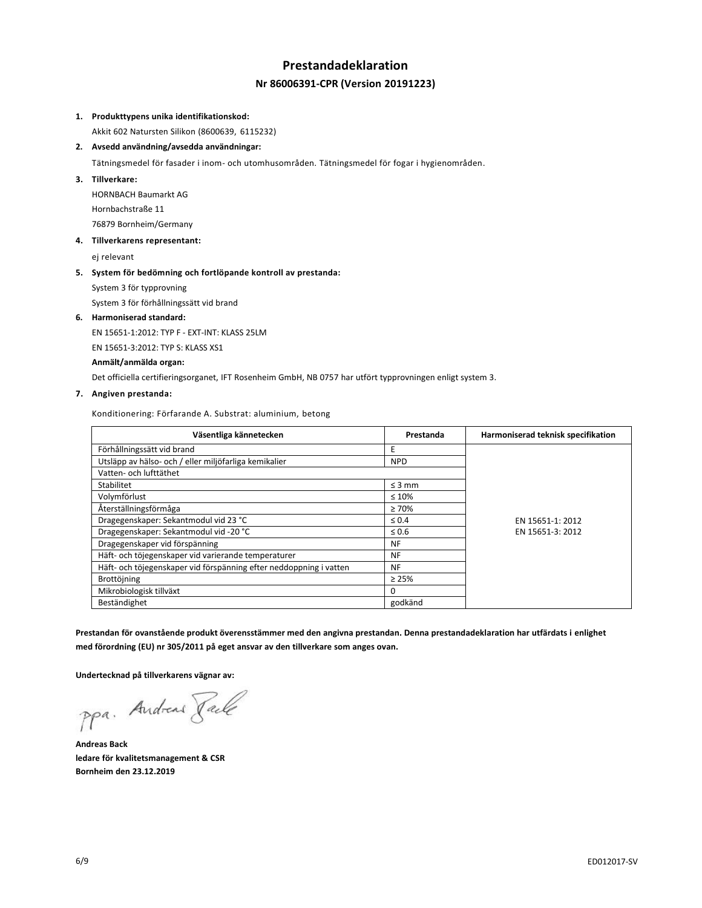# **Prestandadeklaration Nr 86006391-CPR (Version 20191223)**

### **1. Produkttypens unika identifikationskod:**

Akkit 602 Natursten Silikon (8600639, 6115232)

**2. Avsedd användning/avsedda användningar:**

Tätningsmedel för fasader i inom- och utomhusområden. Tätningsmedel för fogar i hygienområden.

**3. Tillverkare:**

HORNBACH Baumarkt AG Hornbachstraße 11 76879 Bornheim/Germany

**4. Tillverkarens representant:**

ej relevant

### **5. System för bedömning och fortlöpande kontroll av prestanda:**

System 3 för typprovning

System 3 för förhållningssätt vid brand

### **6. Harmoniserad standard:**

EN 15651-1:2012: TYP F - EXT-INT: KLASS 25LM

EN 15651-3:2012: TYP S: KLASS XS1

**Anmält/anmälda organ:**

Det officiella certifieringsorganet, IFT Rosenheim GmbH, NB 0757 har utfört typprovningen enligt system 3.

## **7. Angiven prestanda:**

Konditionering: Förfarande A. Substrat: aluminium, betong

| Väsentliga kännetecken                                             | Prestanda   | Harmoniserad teknisk specifikation |
|--------------------------------------------------------------------|-------------|------------------------------------|
| Förhållningssätt vid brand                                         | Ε           |                                    |
| Utsläpp av hälso- och / eller miljöfarliga kemikalier              | <b>NPD</b>  |                                    |
| Vatten- och lufttäthet                                             |             |                                    |
| Stabilitet                                                         | $\leq$ 3 mm |                                    |
| Volymförlust                                                       | $\leq 10\%$ |                                    |
| Återställningsförmåga                                              | $\geq 70\%$ |                                    |
| Dragegenskaper: Sekantmodul vid 23 °C                              | $\leq 0.4$  | EN 15651-1: 2012                   |
| Dragegenskaper: Sekantmodul vid -20 °C                             | $\leq 0.6$  | EN 15651-3: 2012                   |
| Dragegenskaper vid förspänning                                     | NF          |                                    |
| Häft- och töjegenskaper vid varierande temperaturer                | NF          |                                    |
| Häft- och töjegenskaper vid förspänning efter neddoppning i vatten | NF          |                                    |
| Brottöjning                                                        | $\geq 25\%$ |                                    |
| Mikrobiologisk tillväxt                                            | $\Omega$    |                                    |
| Beständighet                                                       | godkänd     |                                    |

**Prestandan för ovanstående produkt överensstämmer med den angivna prestandan. Denna prestandadeklaration har utfärdats i enlighet med förordning (EU) nr 305/2011 på eget ansvar av den tillverkare som anges ovan.**

**Undertecknad på tillverkarens vägnar av:**

ppa. Andreas Facto

**Andreas Back ledare för kvalitetsmanagement & CSR Bornheim den 23.12.2019**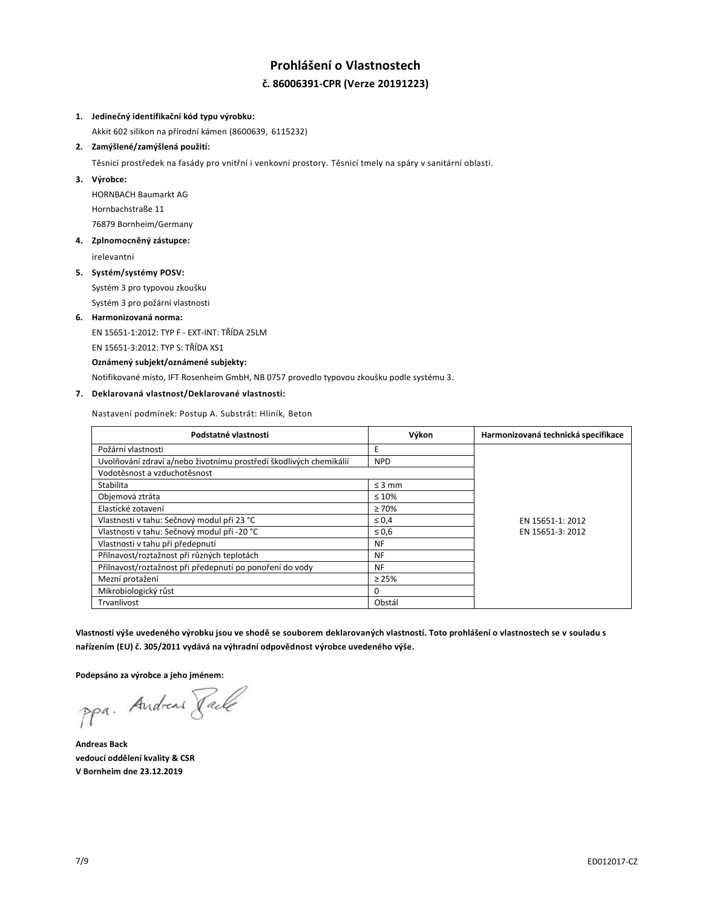# **Prohlášení o Vlastnostech č. 86006391-CPR (Verze 20191223)**

### **1. Jedinečný identifikační kód typu výrobku:**

Akkit 602 silikon na přírodní kámen (8600639, 6115232)

**2. Zamýšlené/zamýšlená použití:**

Těsnicí prostředek na fasády pro vnitřní i venkovní prostory. Těsnicí tmely na spáry v sanitární oblasti.

**3. Výrobce:**

HORNBACH Baumarkt AG Hornbachstraße 11 76879 Bornheim/Germany

**4. Zplnomocněný zástupce:**

irelevantní

### **5. Systém/systémy POSV:**

Systém 3 pro typovou zkoušku Systém 3 pro požární vlastnosti

## **6. Harmonizovaná norma:**

EN 15651-1:2012: TYP F - EXT-INT: TŘÍDA 25LM

EN 15651-3:2012: TYP S: TŘÍDA XS1

### **Oznámený subjekt/oznámené subjekty:**

Notifikované místo, IFT Rosenheim GmbH, NB 0757 provedlo typovou zkoušku podle systému 3.

## **7. Deklarovaná vlastnost/Deklarované vlastnosti:**

Nastavení podmínek: Postup A. Substrát: Hliník, Beton

| Podstatné vlastnosti                                               | Výkon       | Harmonizovaná technická specifikace |
|--------------------------------------------------------------------|-------------|-------------------------------------|
| Požární vlastnosti                                                 | Ε           |                                     |
| Uvolňování zdraví a/nebo životnímu prostředí škodlivých chemikálií | <b>NPD</b>  |                                     |
| Vodotěsnost a vzduchotěsnost                                       |             |                                     |
| Stabilita                                                          | $\leq$ 3 mm |                                     |
| Objemová ztráta                                                    | $\leq 10\%$ |                                     |
| Elastické zotavení                                                 | $\geq 70\%$ |                                     |
| Vlastnosti v tahu: Sečnový modul při 23 °C                         | $\leq 0.4$  | EN 15651-1: 2012                    |
| Vlastnosti v tahu: Sečnový modul při -20 °C                        | $\leq 0.6$  | EN 15651-3: 2012                    |
| Vlastnosti v tahu při předepnutí                                   | <b>NF</b>   |                                     |
| Přilnavost/roztažnost při různých teplotách                        | <b>NF</b>   |                                     |
| Přilnavost/roztažnost při předepnutí po ponoření do vody           | <b>NF</b>   |                                     |
| Mezní protažení                                                    | $\geq 25\%$ |                                     |
| Mikrobiologický růst                                               | 0           |                                     |
| Trvanlivost                                                        | Obstál      |                                     |

**Vlastnosti výše uvedeného výrobku jsou ve shodě se souborem deklarovaných vlastností. Toto prohlášení o vlastnostech se v souladu s nařízením (EU) č. 305/2011 vydává na výhradní odpovědnost výrobce uvedeného výše.**

**Podepsáno za výrobce a jeho jménem:**

ppa. Andreas Face

**Andreas Back vedoucí oddělení kvality & CSR V Bornheim dne 23.12.2019**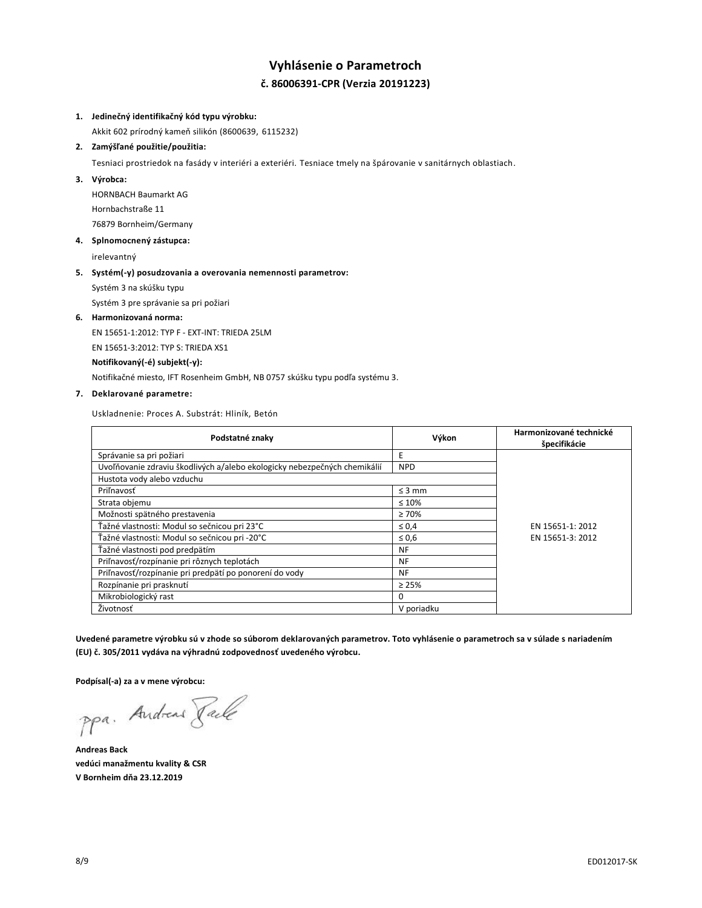# **Vyhlásenie o Parametroch č. 86006391-CPR (Verzia 20191223)**

## **1. Jedinečný identifikačný kód typu výrobku:**

Akkit 602 prírodný kameň silikón (8600639, 6115232)

**2. Zamýšľané použitie/použitia:**

Tesniaci prostriedok na fasády v interiéri a exteriéri. Tesniace tmely na špárovanie v sanitárnych oblastiach.

**3. Výrobca:**

HORNBACH Baumarkt AG Hornbachstraße 11 76879 Bornheim/Germany

**4. Splnomocnený zástupca:**

irelevantný

### **5. Systém(-y) posudzovania a overovania nemennosti parametrov:**

Systém 3 na skúšku typu

Systém 3 pre správanie sa pri požiari

### **6. Harmonizovaná norma:**

EN 15651-1:2012: TYP F - EXT-INT: TRIEDA 25LM

EN 15651-3:2012: TYP S: TRIEDA XS1

**Notifikovaný(-é) subjekt(-y):**

Notifikačné miesto, IFT Rosenheim GmbH, NB 0757 skúšku typu podľa systému 3.

## **7. Deklarované parametre:**

Uskladnenie: Proces A. Substrát: Hliník, Betón

| Podstatné znaky                                                           | Výkon       | Harmonizované technické<br>špecifikácie |
|---------------------------------------------------------------------------|-------------|-----------------------------------------|
| Správanie sa pri požiari                                                  | E           |                                         |
| Uvoľňovanie zdraviu škodlivých a/alebo ekologicky nebezpečných chemikálií | <b>NPD</b>  |                                         |
| Hustota vody alebo vzduchu                                                |             |                                         |
| Priľnavosť                                                                | $\leq$ 3 mm |                                         |
| Strata objemu                                                             | $\leq 10\%$ |                                         |
| Možnosti spätného prestavenia                                             | $\geq 70\%$ |                                         |
| Ťažné vlastnosti: Modul so sečnicou pri 23°C                              | $\leq 0.4$  | EN 15651-1: 2012                        |
| Ťažné vlastnosti: Modul so sečnicou pri -20°C                             | $\leq 0.6$  | EN 15651-3: 2012                        |
| Ťažné vlastnosti pod predpätím                                            | NF          |                                         |
| Priľnavosť/rozpínanie pri rôznych teplotách                               | <b>NF</b>   |                                         |
| Priľnavosť/rozpínanie pri predpätí po ponorení do vody                    | <b>NF</b>   |                                         |
| Rozpínanie pri prasknutí                                                  | $\geq 25\%$ |                                         |
| Mikrobiologický rast                                                      | 0           |                                         |
| Životnosť                                                                 | V poriadku  |                                         |

**Uvedené parametre výrobku sú v zhode so súborom deklarovaných parametrov. Toto vyhlásenie o parametroch sa v súlade s nariadením (EU) č. 305/2011 vydáva na výhradnú zodpovednosť uvedeného výrobcu.**

**Podpísal(-a) za a v mene výrobcu:**

ppa. Andreas Faile

**Andreas Back vedúci manažmentu kvality & CSR V Bornheim dňa 23.12.2019**